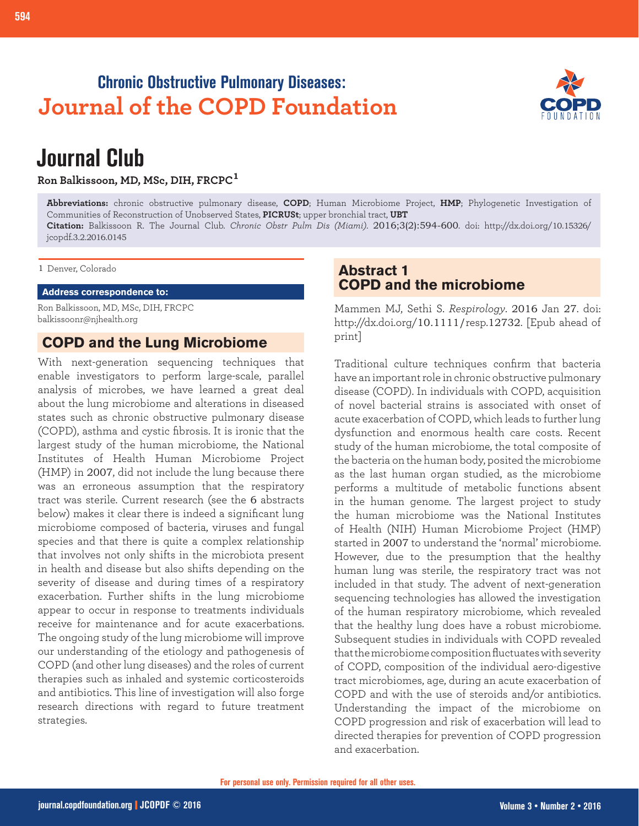# **Chronic Obstructive Pulmonary Diseases: Journal of the COPD Foundation**



# **Journal Club**

**Ron Balkissoon, MD, MSc, DIH, FRCPC<sup>1</sup>**

**Abbreviations:** chronic obstructive pulmonary disease, **COPD**; Human Microbiome Project, **HMP**; Phylogenetic Investigation of Communities of Reconstruction of Unobserved States, **PICRUSt**; upper bronchial tract, **UBT Citation:** Balkissoon R. The Journal Club. *Chronic Obstr Pulm Dis (Miami)*. 2016;3(2):594-600. doi: http://dx.doi.org/10.15326/ jcopdf.3.2.2016.0145

1 Denver, Colorado

#### **Address correspondence to:**

Ron Balkissoon, MD, MSc, DIH, FRCPC balkissoonr@njhealth.org

## **COPD and the Lung Microbiome**

With next-generation sequencing techniques that enable investigators to perform large-scale, parallel analysis of microbes, we have learned a great deal about the lung microbiome and alterations in diseased states such as chronic obstructive pulmonary disease (COPD), asthma and cystic fibrosis. It is ironic that the largest study of the human microbiome, the National Institutes of Health Human Microbiome Project (HMP) in 2007, did not include the lung because there was an erroneous assumption that the respiratory tract was sterile. Current research (see the 6 abstracts below) makes it clear there is indeed a significant lung microbiome composed of bacteria, viruses and fungal species and that there is quite a complex relationship that involves not only shifts in the microbiota present in health and disease but also shifts depending on the severity of disease and during times of a respiratory exacerbation. Further shifts in the lung microbiome appear to occur in response to treatments individuals receive for maintenance and for acute exacerbations. The ongoing study of the lung microbiome will improve our understanding of the etiology and pathogenesis of COPD (and other lung diseases) and the roles of current therapies such as inhaled and systemic corticosteroids and antibiotics. This line of investigation will also forge research directions with regard to future treatment strategies.

# **Abstract 1 COPD and the microbiome**

Mammen MJ, Sethi S. *Respirology*. 2016 Jan 27. doi: http://dx.doi.org/10.1111/resp.12732. [Epub ahead of print]

Traditional culture techniques confirm that bacteria have an important role in chronic obstructive pulmonary disease (COPD). In individuals with COPD, acquisition of novel bacterial strains is associated with onset of acute exacerbation of COPD, which leads to further lung dysfunction and enormous health care costs. Recent study of the human microbiome, the total composite of the bacteria on the human body, posited the microbiome as the last human organ studied, as the microbiome performs a multitude of metabolic functions absent in the human genome. The largest project to study the human microbiome was the National Institutes of Health (NIH) Human Microbiome Project (HMP) started in 2007 to understand the 'normal' microbiome. However, due to the presumption that the healthy human lung was sterile, the respiratory tract was not included in that study. The advent of next-generation sequencing technologies has allowed the investigation of the human respiratory microbiome, which revealed that the healthy lung does have a robust microbiome. Subsequent studies in individuals with COPD revealed that the microbiome composition fluctuates with severity of COPD, composition of the individual aero-digestive tract microbiomes, age, during an acute exacerbation of COPD and with the use of steroids and/or antibiotics. Understanding the impact of the microbiome on COPD progression and risk of exacerbation will lead to directed therapies for prevention of COPD progression and exacerbation.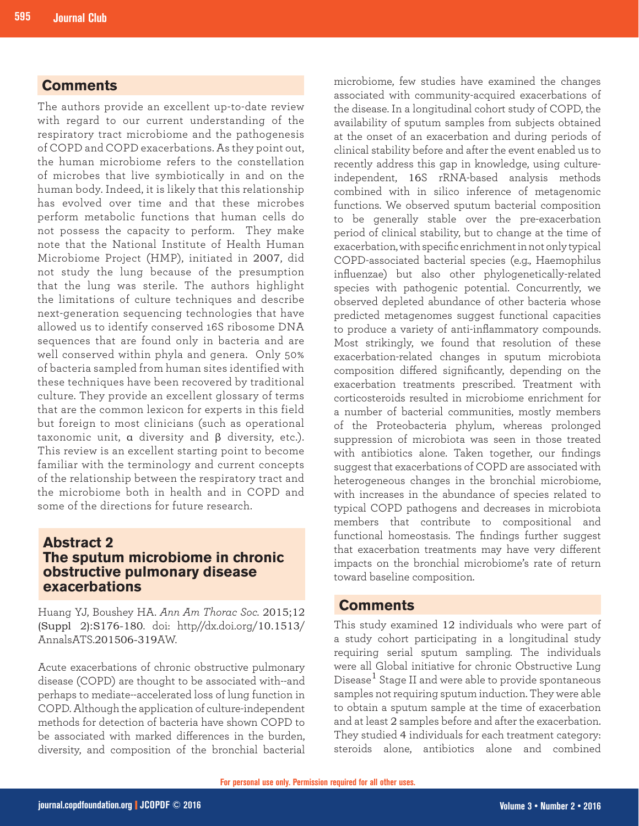## **Comments**

The authors provide an excellent up-to-date review with regard to our current understanding of the respiratory tract microbiome and the pathogenesis of COPD and COPD exacerbations. As they point out, the human microbiome refers to the constellation of microbes that live symbiotically in and on the human body. Indeed, it is likely that this relationship has evolved over time and that these microbes perform metabolic functions that human cells do not possess the capacity to perform. They make note that the National Institute of Health Human Microbiome Project (HMP), initiated in 2007, did not study the lung because of the presumption that the lung was sterile. The authors highlight the limitations of culture techniques and describe next-generation sequencing technologies that have allowed us to identify conserved 16S ribosome DNA sequences that are found only in bacteria and are well conserved within phyla and genera. Only 50% of bacteria sampled from human sites identified with these techniques have been recovered by traditional culture. They provide an excellent glossary of terms that are the common lexicon for experts in this field but foreign to most clinicians (such as operational taxonomic unit, α diversity and β diversity, etc.). This review is an excellent starting point to become familiar with the terminology and current concepts of the relationship between the respiratory tract and the microbiome both in health and in COPD and some of the directions for future research.

## **Abstract 2 The sputum microbiome in chronic obstructive pulmonary disease exacerbations**

Huang YJ, Boushey HA. *Ann Am Thorac Soc.* 2015;12 (Suppl 2):S176-180. doi: http//dx.doi.org/10.1513/ AnnalsATS.201506-319AW.

Acute exacerbations of chronic obstructive pulmonary disease (COPD) are thought to be associated with--and perhaps to mediate--accelerated loss of lung function in COPD. Although the application of culture-independent methods for detection of bacteria have shown COPD to be associated with marked differences in the burden, diversity, and composition of the bronchial bacterial

microbiome, few studies have examined the changes associated with community-acquired exacerbations of the disease. In a longitudinal cohort study of COPD, the availability of sputum samples from subjects obtained at the onset of an exacerbation and during periods of clinical stability before and after the event enabled us to recently address this gap in knowledge, using cultureindependent, 16S rRNA-based analysis methods combined with in silico inference of metagenomic functions. We observed sputum bacterial composition to be generally stable over the pre-exacerbation period of clinical stability, but to change at the time of exacerbation, with specific enrichment in not only typical COPD-associated bacterial species (e.g., Haemophilus influenzae) but also other phylogenetically-related species with pathogenic potential. Concurrently, we observed depleted abundance of other bacteria whose predicted metagenomes suggest functional capacities to produce a variety of anti-inflammatory compounds. Most strikingly, we found that resolution of these exacerbation-related changes in sputum microbiota composition differed significantly, depending on the exacerbation treatments prescribed. Treatment with corticosteroids resulted in microbiome enrichment for a number of bacterial communities, mostly members of the Proteobacteria phylum, whereas prolonged suppression of microbiota was seen in those treated with antibiotics alone. Taken together, our findings suggest that exacerbations of COPD are associated with heterogeneous changes in the bronchial microbiome, with increases in the abundance of species related to typical COPD pathogens and decreases in microbiota members that contribute to compositional and functional homeostasis. The findings further suggest that exacerbation treatments may have very different impacts on the bronchial microbiome's rate of return toward baseline composition.

### **Comments**

This study examined 12 individuals who were part of a study cohort participating in a longitudinal study requiring serial sputum sampling. The individuals were all Global initiative for chronic Obstructive Lung Disease $^1$  Stage II and were able to provide spontaneous samples not requiring sputum induction. They were able to obtain a sputum sample at the time of exacerbation and at least 2 samples before and after the exacerbation. They studied 4 individuals for each treatment category: steroids alone, antibiotics alone and combined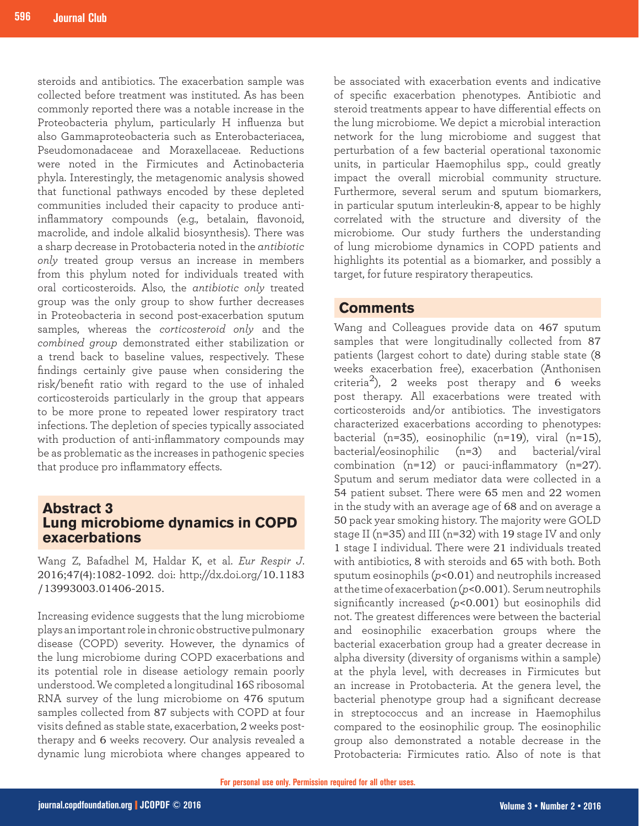steroids and antibiotics. The exacerbation sample was collected before treatment was instituted. As has been commonly reported there was a notable increase in the Proteobacteria phylum, particularly H influenza but also Gammaproteobacteria such as Enterobacteriacea, Pseudomonadaceae and Moraxellaceae. Reductions were noted in the Firmicutes and Actinobacteria phyla. Interestingly, the metagenomic analysis showed that functional pathways encoded by these depleted communities included their capacity to produce antiinflammatory compounds (e.g., betalain, flavonoid, macrolide, and indole alkalid biosynthesis). There was a sharp decrease in Protobacteria noted in the *antibiotic only* treated group versus an increase in members from this phylum noted for individuals treated with oral corticosteroids. Also, the *antibiotic only* treated group was the only group to show further decreases in Proteobacteria in second post-exacerbation sputum samples, whereas the *corticosteroid only* and the *combined group* demonstrated either stabilization or a trend back to baseline values, respectively. These findings certainly give pause when considering the risk/benefit ratio with regard to the use of inhaled corticosteroids particularly in the group that appears to be more prone to repeated lower respiratory tract infections. The depletion of species typically associated with production of anti-inflammatory compounds may be as problematic as the increases in pathogenic species that produce pro inflammatory effects.

## **Abstract 3 Lung microbiome dynamics in COPD exacerbations**

Wang Z, Bafadhel M, Haldar K, et al. *Eur Respir J*. 2016;47(4):1082-1092. doi: http://dx.doi.org/10.1183 /13993003.01406-2015.

Increasing evidence suggests that the lung microbiome plays an important role in chronic obstructive pulmonary disease (COPD) severity. However, the dynamics of the lung microbiome during COPD exacerbations and its potential role in disease aetiology remain poorly understood. We completed a longitudinal 16S ribosomal RNA survey of the lung microbiome on 476 sputum samples collected from 87 subjects with COPD at four visits defined as stable state, exacerbation, 2 weeks posttherapy and 6 weeks recovery. Our analysis revealed a dynamic lung microbiota where changes appeared to

be associated with exacerbation events and indicative of specific exacerbation phenotypes. Antibiotic and steroid treatments appear to have differential effects on the lung microbiome. We depict a microbial interaction network for the lung microbiome and suggest that perturbation of a few bacterial operational taxonomic units, in particular Haemophilus spp., could greatly impact the overall microbial community structure. Furthermore, several serum and sputum biomarkers, in particular sputum interleukin-8, appear to be highly correlated with the structure and diversity of the microbiome. Our study furthers the understanding of lung microbiome dynamics in COPD patients and highlights its potential as a biomarker, and possibly a target, for future respiratory therapeutics.

## **Comments**

Wang and Colleagues provide data on 467 sputum samples that were longitudinally collected from 87 patients (largest cohort to date) during stable state (8 weeks exacerbation free), exacerbation (Anthonisen criteria<sup>2</sup>), 2 weeks post therapy and 6 weeks post therapy. All exacerbations were treated with corticosteroids and/or antibiotics. The investigators characterized exacerbations according to phenotypes: bacterial (n=35), eosinophilic (n=19), viral (n=15), bacterial/eosinophilic (n=3) and bacterial/viral combination  $(n=12)$  or pauci-inflammatory  $(n=27)$ . Sputum and serum mediator data were collected in a 54 patient subset. There were 65 men and 22 women in the study with an average age of 68 and on average a 50 pack year smoking history. The majority were GOLD stage II (n=35) and III (n=32) with 19 stage IV and only 1 stage I individual. There were 21 individuals treated with antibiotics, 8 with steroids and 65 with both. Both sputum eosinophils (*p*<0.01) and neutrophils increased at the time of exacerbation (*p*<0.001). Serum neutrophils significantly increased (*p*<0.001) but eosinophils did not. The greatest differences were between the bacterial and eosinophilic exacerbation groups where the bacterial exacerbation group had a greater decrease in alpha diversity (diversity of organisms within a sample) at the phyla level, with decreases in Firmicutes but an increase in Protobacteria. At the genera level, the bacterial phenotype group had a significant decrease in streptococcus and an increase in Haemophilus compared to the eosinophilic group. The eosinophilic group also demonstrated a notable decrease in the Protobacteria: Firmicutes ratio. Also of note is that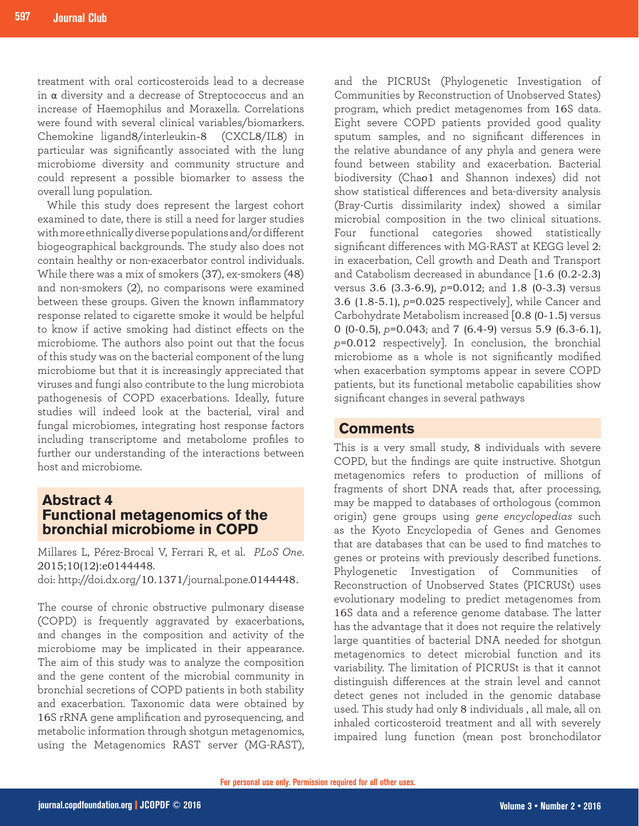treatment with oral corticosteroids lead to a decrease in α diversity and a decrease of Streptococcus and an increase of Haemophilus and Moraxella. Correlations were found with several clinical variables/biomarkers. Chemokine ligand8/interleukin-8 (CXCL8/IL8) in particular was significantly associated with the lung microbiome diversity and community structure and could represent a possible biomarker to assess the overall lung population.

While this study does represent the largest cohort examined to date, there is still a need for larger studies with more ethnically diverse populations and/or different biogeographical backgrounds. The study also does not contain healthy or non-exacerbator control individuals. While there was a mix of smokers (37), ex-smokers (48) and non-smokers (2), no comparisons were examined between these groups. Given the known inflammatory response related to cigarette smoke it would be helpful to know if active smoking had distinct effects on the microbiome. The authors also point out that the focus of this study was on the bacterial component of the lung microbiome but that it is increasingly appreciated that viruses and fungi also contribute to the lung microbiota pathogenesis of COPD exacerbations. Ideally, future studies will indeed look at the bacterial, viral and fungal microbiomes, integrating host response factors including transcriptome and metabolome profiles to further our understanding of the interactions between host and microbiome.

## **Abstract 4 Functional metagenomics of the bronchial microbiome in COPD**

Millares L, Pérez-Brocal V, Ferrari R, et al. *PLoS One*. 2015;10(12):e0144448.

doi: http://doi.dx.org/10.1371/journal.pone.0144448.

The course of chronic obstructive pulmonary disease (COPD) is frequently aggravated by exacerbations, and changes in the composition and activity of the microbiome may be implicated in their appearance. The aim of this study was to analyze the composition and the gene content of the microbial community in bronchial secretions of COPD patients in both stability and exacerbation. Taxonomic data were obtained by 16S rRNA gene amplification and pyrosequencing, and metabolic information through shotgun metagenomics, using the Metagenomics RAST server (MG-RAST),

and the PICRUSt (Phylogenetic Investigation of Communities by Reconstruction of Unobserved States) program, which predict metagenomes from 16S data. Eight severe COPD patients provided good quality sputum samples, and no significant differences in the relative abundance of any phyla and genera were found between stability and exacerbation. Bacterial biodiversity (Chao1 and Shannon indexes) did not show statistical differences and beta-diversity analysis (Bray-Curtis dissimilarity index) showed a similar microbial composition in the two clinical situations. Four functional categories showed statistically significant differences with MG-RAST at KEGG level 2: in exacerbation, Cell growth and Death and Transport and Catabolism decreased in abundance [1.6 (0.2-2.3) versus 3.6 (3.3-6.9), *p*=0.012; and 1.8 (0-3.3) versus 3.6 (1.8-5.1), *p*=0.025 respectively], while Cancer and Carbohydrate Metabolism increased [0.8 (0-1.5) versus 0 (0-0.5), *p*=0.043; and 7 (6.4-9) versus 5.9 (6.3-6.1), *p*=0.012 respectively]. In conclusion, the bronchial microbiome as a whole is not significantly modified when exacerbation symptoms appear in severe COPD patients, but its functional metabolic capabilities show significant changes in several pathways

#### **Comments**

This is a very small study, 8 individuals with severe COPD, but the findings are quite instructive. Shotgun metagenomics refers to production of millions of fragments of short DNA reads that, after processing, may be mapped to databases of orthologous (common origin) gene groups using *gene encyclopedias* such as the Kyoto Encyclopedia of Genes and Genomes that are databases that can be used to find matches to genes or proteins with previously described functions. Phylogenetic Investigation of Communities of Reconstruction of Unobserved States (PICRUSt) uses evolutionary modeling to predict metagenomes from 16S data and a reference genome database. The latter has the advantage that it does not require the relatively large quantities of bacterial DNA needed for shotgun metagenomics to detect microbial function and its variability. The limitation of PICRUSt is that it cannot distinguish differences at the strain level and cannot detect genes not included in the genomic database used. This study had only 8 individuals , all male, all on inhaled corticosteroid treatment and all with severely impaired lung function (mean post bronchodilator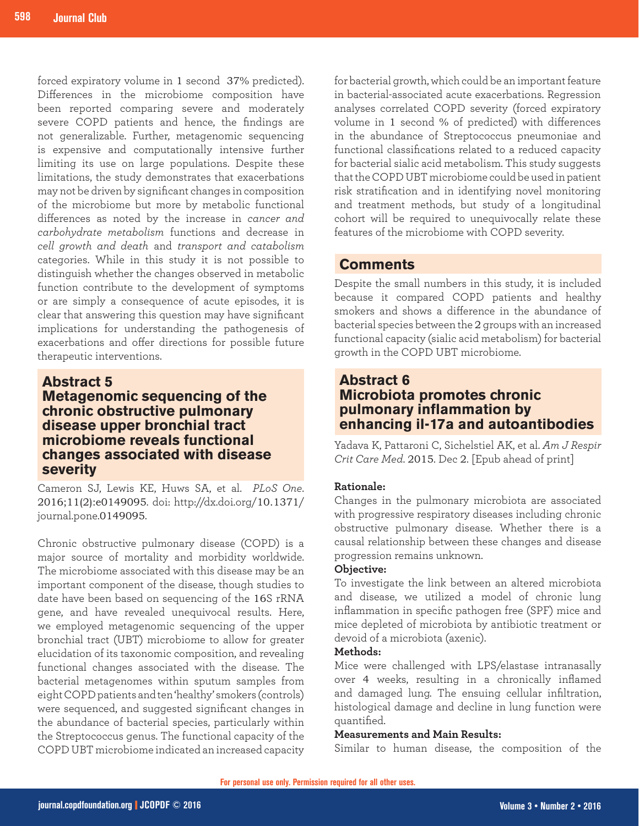forced expiratory volume in 1 second 37% predicted). Differences in the microbiome composition have been reported comparing severe and moderately severe COPD patients and hence, the findings are not generalizable. Further, metagenomic sequencing is expensive and computationally intensive further limiting its use on large populations. Despite these limitations, the study demonstrates that exacerbations may not be driven by significant changes in composition of the microbiome but more by metabolic functional differences as noted by the increase in *cancer and carbohydrate metabolism* functions and decrease in *cell growth and death* and *transport and catabolism* categories. While in this study it is not possible to distinguish whether the changes observed in metabolic function contribute to the development of symptoms or are simply a consequence of acute episodes, it is clear that answering this question may have significant implications for understanding the pathogenesis of exacerbations and offer directions for possible future therapeutic interventions.

#### **Abstract 5**

# **Metagenomic sequencing of the chronic obstructive pulmonary disease upper bronchial tract microbiome reveals functional changes associated with disease severity**

Cameron SJ, Lewis KE, Huws SA, et al. *PLoS One*. 2016;11(2):e0149095. doi: http://dx.doi.org/10.1371/ journal.pone.0149095.

Chronic obstructive pulmonary disease (COPD) is a major source of mortality and morbidity worldwide. The microbiome associated with this disease may be an important component of the disease, though studies to date have been based on sequencing of the 16S rRNA gene, and have revealed unequivocal results. Here, we employed metagenomic sequencing of the upper bronchial tract (UBT) microbiome to allow for greater elucidation of its taxonomic composition, and revealing functional changes associated with the disease. The bacterial metagenomes within sputum samples from eight COPD patients and ten 'healthy' smokers (controls) were sequenced, and suggested significant changes in the abundance of bacterial species, particularly within the Streptococcus genus. The functional capacity of the COPD UBT microbiome indicated an increased capacity for bacterial growth, which could be an important feature in bacterial-associated acute exacerbations. Regression analyses correlated COPD severity (forced expiratory volume in 1 second % of predicted) with differences in the abundance of Streptococcus pneumoniae and functional classifications related to a reduced capacity for bacterial sialic acid metabolism. This study suggests that the COPD UBT microbiome could be used in patient risk stratification and in identifying novel monitoring and treatment methods, but study of a longitudinal cohort will be required to unequivocally relate these features of the microbiome with COPD severity.

## **Comments**

Despite the small numbers in this study, it is included because it compared COPD patients and healthy smokers and shows a difference in the abundance of bacterial species between the 2 groups with an increased functional capacity (sialic acid metabolism) for bacterial growth in the COPD UBT microbiome.

# **Abstract 6 Microbiota promotes chronic pulmonary inflammation by enhancing il-17a and autoantibodies**

Yadava K, Pattaroni C, Sichelstiel AK, et al. *Am J Respir Crit Care Med*. 2015. Dec 2. [Epub ahead of print]

#### **Rationale:**

Changes in the pulmonary microbiota are associated with progressive respiratory diseases including chronic obstructive pulmonary disease. Whether there is a causal relationship between these changes and disease progression remains unknown.

#### **Objective:**

To investigate the link between an altered microbiota and disease, we utilized a model of chronic lung inflammation in specific pathogen free (SPF) mice and mice depleted of microbiota by antibiotic treatment or devoid of a microbiota (axenic).

#### **Methods:**

Mice were challenged with LPS/elastase intranasally over 4 weeks, resulting in a chronically inflamed and damaged lung. The ensuing cellular infiltration, histological damage and decline in lung function were quantified.

#### **Measurements and Main Results:**

Similar to human disease, the composition of the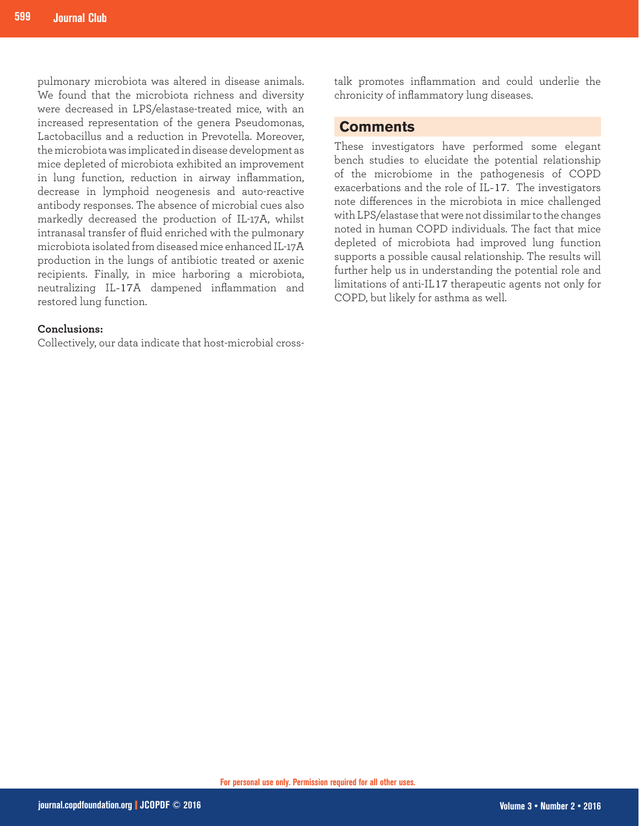pulmonary microbiota was altered in disease animals. We found that the microbiota richness and diversity were decreased in LPS/elastase-treated mice, with an increased representation of the genera Pseudomonas, Lactobacillus and a reduction in Prevotella. Moreover, the microbiota was implicated in disease development as mice depleted of microbiota exhibited an improvement in lung function, reduction in airway inflammation, decrease in lymphoid neogenesis and auto-reactive antibody responses. The absence of microbial cues also markedly decreased the production of IL-17A, whilst intranasal transfer of fluid enriched with the pulmonary microbiota isolated from diseased mice enhanced IL-17A production in the lungs of antibiotic treated or axenic recipients. Finally, in mice harboring a microbiota, neutralizing IL-17A dampened inflammation and restored lung function.

#### **Conclusions:**

Collectively, our data indicate that host-microbial cross-

talk promotes inflammation and could underlie the chronicity of inflammatory lung diseases.

#### **Comments**

These investigators have performed some elegant bench studies to elucidate the potential relationship of the microbiome in the pathogenesis of COPD exacerbations and the role of IL-17. The investigators note differences in the microbiota in mice challenged with LPS/elastase that were not dissimilar to the changes noted in human COPD individuals. The fact that mice depleted of microbiota had improved lung function supports a possible causal relationship. The results will further help us in understanding the potential role and limitations of anti-IL17 therapeutic agents not only for COPD, but likely for asthma as well.